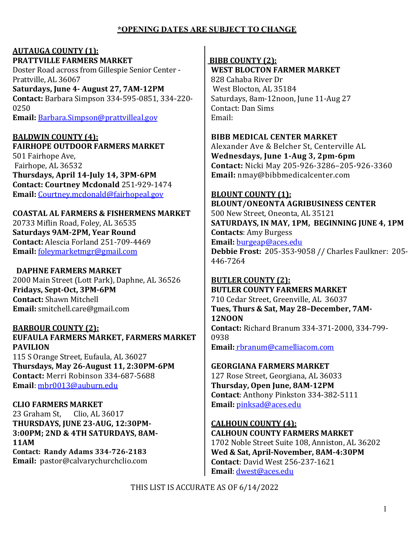# **AUTAUGA COUNTY (1):**

## **PRATTVILLE FARMERS MARKET**

Doster Road across from Gillespie Senior Center - Prattville, AL 36067

**Saturdays, June 4- August 27, 7AM-12PM Contact:** Barbara Simpson 334-595-0851, 334-220- 0250

**Email:** [Barbara.Simpson@prattvilleal.gov](mailto:Barbara.Simpson@prattvilleal.gov)

**BALDWIN COUNTY (4): FAIRHOPE OUTDOOR FARMERS MARKET** 501 Fairhope Ave, Fairhope, AL 36532 **Thursdays, April 14-July 14, 3PM-6PM Contact: Courtney Mcdonald** 251-929-1474

**Email:** [Courtney.mcdonald@fairhopeal.gov](mailto:Courtney.mcdonald@fairhopeal.gov) 

**COASTAL AL FARMERS & FISHERMENS MARKET** 20733 Miflin Road, Foley, AL 36535 **Saturdays 9AM-2PM, Year Round Contact:** Alescia Forland 251-709-4469 **Email:** [foleymarketmgr@gmail.com](mailto:foleymarketmgr@gmail.com) 

 **DAPHNE FARMERS MARKET** 2000 Main Street (Lott Park), Daphne, AL 36526  **Fridays, Sept-Oct, 3PM-6PM Contact:** Shawn Mitchell  **Email:** smitchell.care@gmail.com

**BARBOUR COUNTY (2): EUFAULA FARMERS MARKET, FARMERS MARKET PAVILION** 115 S Orange Street, Eufaula, AL 36027

**Thursdays, May 26-August 11, 2:30PM-6PM Contact:** Merri Robinson 334-687-5688 **Email**: [mbr0013@auburn.edu](mailto:mbr0013@auburn.edu) 

**CLIO FARMERS MARKET**  23 Graham St, Clio, AL 36017 **THURSDAYS, JUNE 23-AUG, 12:30PM-3:00PM; 2ND & 4TH SATURDAYS, 8AM-11AM Contact: Randy Adams 334-726-2183 Email:** pastor@calvarychurchclio.com

**BIBB COUNTY (2): WEST BLOCTON FARMER MARKET** 828 Cahaba River Dr West Blocton, AL 35184 Saturdays, 8am-12noon, June 11-Aug 27 Contact: Dan Sims Email:

## **BIBB MEDICAL CENTER MARKET**

Alexander Ave & Belcher St, Centerville AL **Wednesdays, June 1-Aug 3, 2pm-6pm Contact:** Nicki May 205-926-3286–205-926-3360 **Email:** nmay@bibbmedicalcenter.com

#### **BLOUNT COUNTY (1):**

**BLOUNT/ONEONTA AGRIBUSINESS CENTER** 500 New Street, Oneonta, AL 35121 **SATURDAYS, IN MAY, 1PM, BEGINNING JUNE 4, 1PM Contacts**: Amy Burgess **Email:** [burgeap@aces.edu](mailto:burgeap@aces.edu) **Debbie Frost:** 205-353-9058 // Charles Faulkner: 205- 446-7264

**BUTLER COUNTY (2): BUTLER COUNTY FARMERS MARKET** 710 Cedar Street, Greenville, AL 36037 **Tues, Thurs & Sat, May 28–December, 7AM-12NOON Contact:** Richard Branum 334-371-2000, 334-799- 0938 **Email:** [rbranum@camelliacom.com](mailto:%20rbranum@camelliacom.com)

**GEORGIANA FARMERS MARKET** 127 Rose Street, Georgiana, AL 36033 **Thursday, Open June, 8AM-12PM Contact**: Anthony Pinkston 334-382-5111 **Email:** [pinksad@aces.edu](mailto:pinksad@aces.edu)

**CALHOUN COUNTY (4): CALHOUN COUNTY FARMERS MARKET** 1702 Noble Street Suite 108, Anniston, AL 36202 **Wed & Sat, April-November, 8AM-4:30PM Contact**: David West 256-237-1621 **Email**: [dwest@aces.edu](mailto:dwest@aces.edu)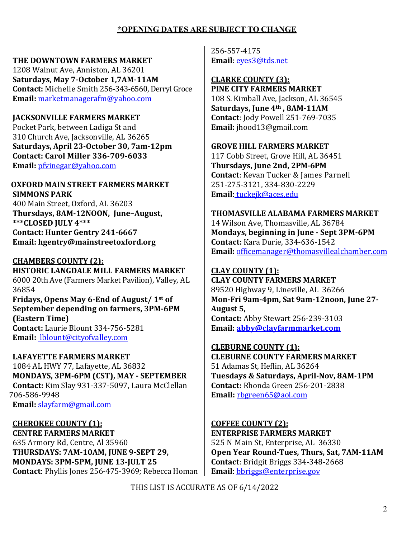#### **THE DOWNTOWN FARMERS MARKET**

1208 Walnut Ave, Anniston, AL 36201 **Saturdays, May 7-October 1,7AM-11AM Contact:** Michelle Smith 256-343-6560, Derryl Groce **Email:** [marketmanagerafm@yahoo.com](mailto:%20marketmanagerafm@yahoo.com) 

## **JACKSONVILLE FARMERS MARKET**

Pocket Park, between Ladiga St and 310 Church Ave, Jacksonville, AL 36265 **Saturdays, April 23-October 30, 7am-12pm Contact: Carol Miller 336-709-6033 Email:** [pfvinegar@yahoo.com](mailto:pfvinegar@yahoo.com) 

## **OXFORD MAIN STREET FARMERS MARKET SIMMONS PARK**

400 Main Street, Oxford, AL 36203 **Thursdays, 8AM-12NOON, June–August, \*\*\*CLOSED JULY 4\*\*\*** 

**Contact: Hunter Gentry 241-6667 Email: hgentry@mainstreetoxford.org**

#### **CHAMBERS COUNTY (2): HISTORIC LANGDALE MILL FARMERS MARKET** 6000 20th Ave (Farmers Market Pavilion), Valley, AL 36854 **Fridays, Opens May 6-End of August/ 1st of September depending on farmers, 3PM-6PM**

**(Eastern Time) Contact:** Laurie Blount 334-756-5281 **Email:** [lblount@cityofvalley.com](mailto:%20lblount@cityofvalley.com) 

## **LAFAYETTE FARMERS MARKET**

 1084 AL HWY 77, Lafayette, AL 36832 **MONDAYS, 3PM-6PM (CST), MAY - SEPTEMBER Contact:** Kim Slay 931-337-5097, Laura McClellan 706-586-9948 **Email:** [slayfarm@gmail.com](mailto:slayfarm@gmail.com)

**CHEROKEE COUNTY (1): CENTRE FARMERS MARKET** 635 Armory Rd, Centre, Al 35960 **THURSDAYS: 7AM-10AM, JUNE 9-SEPT 29, MONDAYS: 3PM-5PM, JUNE 13-JULT 25 Contact**: Phyllis Jones 256-475-3969; Rebecca Homan 256-557-4175 **Email**: [eyes3@tds.net](mailto:eyes3@tds.net)

#### **CLARKE COUNTY (3): PINE CITY FARMERS MARKET** 108 S. Kimball Ave, Jackson, AL 36545 **Saturdays, June 4th , 8AM-11AM Contact**: Jody Powell 251-769-7035 **Email:** jhood13@gmail.com

## **GROVE HILL FARMERS MARKET**

117 Cobb Street, Grove Hill, AL 36451 **Thursdays, June 2nd, 2PM-6PM Contact**: Kevan Tucker & James Parnell 251-275-3121, 334-830-2229 **Email**[: tuckejk@aces.edu](mailto:%20tuckejk@aces.edu)

**THOMASVILLE ALABAMA FARMERS MARKET** 14 Wilson Ave, Thomasville, AL 36784 **Mondays, beginning in June - Sept 3PM-6PM Contact:** Kara Durie, 334-636-1542 **Email:** [officemanager@thomasvillealchamber.com](mailto:officemanager@thomasvillealchamber.com)

# **CLAY COUNTY (1):**

**CLAY COUNTY FARMERS MARKET** 89520 Highway 9, Lineville, AL 36266 **Mon-Fri 9am-4pm, Sat 9am-12noon, June 27- August 5, Contact:** Abby Stewart 256-239-3103 **Email: [abby@clayfarmmarket.com](mailto:abby@clayfarmmarket.com)**

**CLEBURNE COUNTY (1): CLEBURNE COUNTY FARMERS MARKET** 51 Adamas St, Heflin, AL 36264 **Tuesdays & Saturdays, April-Nov, 8AM-1PM Contact:** Rhonda Green 256-201-2838 **Email:** [rbgreen65@aol.com](mailto:rbgreen65@aol.com)

**COFFEE COUNTY (2): ENTERPRISE FARMERS MARKET** 525 N Main St, Enterprise, AL 36330 **Open Year Round-Tues, Thurs, Sat, 7AM-11AM Contact**: Bridgit Briggs 334-348-2668 **Email**: [bbriggs@enterprise.gov](mailto:bbriggs@enterprise.gov)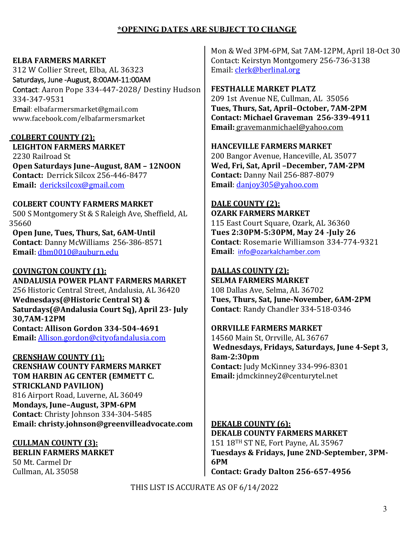#### **ELBA FARMERS MARKET**

312 W Collier Street, Elba, AL 36323 Saturdays, June -August, 8:00AM-11:00AM Contact: Aaron Pope 334-447-2028/ Destiny Hudson 334-347-9531 Email: [elbafarmersmarket@gmail.com](mailto:elbafarmersmarket@gmail.com) [www.facebook.com/elbafarmersmarket](http://www.facebook.com/elbafarmersmarket)

#### **COLBERT COUNTY (2):**

**LEIGHTON FARMERS MARKET** 2230 Railroad St **Open Saturdays June–August, 8AM – 12NOON Contact:** Derrick Silcox 256-446-8477 **Email:** [dericksilcox@gmail.com](mailto:dericksilcox@gmail.com)

**COLBERT COUNTY FARMERS MARKET** 500 S Montgomery St & S Raleigh Ave, Sheffield, AL 35660

**Open June, Tues, Thurs, Sat, 6AM-Until Contact**: Danny McWilliams 256-386-8571 **Email**: [dbm0010@auburn.edu](mailto:dbm0010@auburn.edu) 

**COVINGTON COUNTY (1): ANDALUSIA POWER PLANT FARMERS MARKET** 256 Historic Central Street, Andalusia, AL 36420 **Wednesdays(@Historic Central St) & Saturdays(@Andalusia Court Sq), April 23- July 30,7AM-12PM Contact: Allison Gordon 334-504-4691 Email:** [Allison.gordon@cityofandalusia.com](mailto:Allison.gordon@cityofandalusia.com)

**CRENSHAW COUNTY (1): CRENSHAW COUNTY FARMERS MARKET TOM HARBIN AG CENTER (EMMETT C. STRICKLAND PAVILION)** 816 Airport Road, Luverne, AL 36049 **Mondays, June–August, 3PM-6PM Contact**: Christy Johnson 334-304-5485 **Email: christy.johnson@greenvilleadvocate.com**

**CULLMAN COUNTY (3): BERLIN FARMERS MARKET** 50 Mt. Carmel Dr

Cullman, AL 35058

Mon & Wed 3PM-6PM, Sat 7AM-12PM, April 18-Oct 30 Contact: Keirstyn Montgomery 256-736-3138 Email: [clerk@berlinal.org](mailto:clerk@berlinal.org)

## **FESTHALLE MARKET PLATZ**

209 1st Avenue NE, Cullman, AL 35056 **Tues, Thurs, Sat, April–October, 7AM-2PM Contact: Michael Graveman 256-339-4911 Email[:](mailto:)** gravemanmichael@yahoo.com

#### **HANCEVILLE FARMERS MARKET**

200 Bangor Avenue, Hanceville, AL 35077 **Wed, Fri, Sat, April –December, 7AM-2PM Contact:** Danny Nail 256-887-8079 **Email**: [danjoy305@yahoo.com](mailto:danjoy305@yahoo.com) 

#### **DALE COUNTY (2): OZARK FARMERS MARKET**

115 East Court Square, Ozark, AL 36360 **Tues 2:30PM-5:30PM, May 24 -July 26 Contact**: Rosemarie Williamson 334-774-9321 **Email**: [info@ozarkalchamber.com](mailto:info@ozarkalchamber.com)

## **DALLAS COUNTY (2):**

**SELMA FARMERS MARKET**  108 Dallas Ave, Selma, AL 36702 **Tues, Thurs, Sat, June-November, 6AM-2PM Contact**: Randy Chandler 334-518-0346

#### **ORRVILLE FARMERS MARKET**

14560 Main St, Orrville, AL 36767 **Wednesdays, Fridays, Saturdays, June 4-Sept 3, 8am-2:30pm Contact:** Judy McKinney 334-996-8301 **Email:** jdmckinney2@centurytel.net

## **DEKALB COUNTY (6):**

**DEKALB COUNTY FARMERS MARKET**  151 18TH ST NE, Fort Payne, AL 35967 **Tuesdays & Fridays, June 2ND-September, 3PM-6PM** 

**Contact: Grady Dalton 256-657-4956**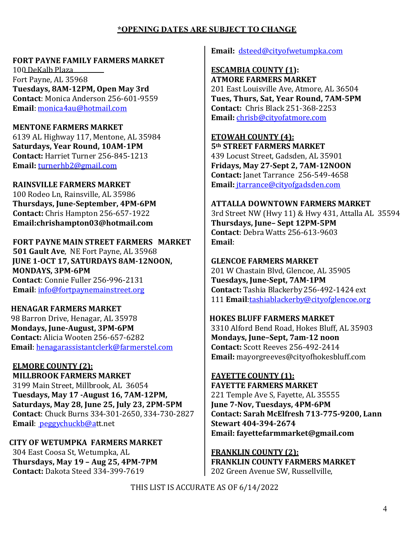#### **FORT PAYNE FAMILY FARMERS MARKET**

100 DeKalb Plaza Fort Payne, AL 35968 **Tuesdays, 8AM-12PM, Open May 3rd Contact**: Monica Anderson 256-601-9559 **Email**: [monica4au@hotmail.com](mailto:monica4au@hotmail.com)

#### **MENTONE FARMERS MARKET**  6139 AL Highway 117, Mentone, AL 35984 **Saturdays, Year Round, 10AM-1PM Contact:** Harriet Turner 256-845-1213

**Email:** [turnerhb2@gmail.com](mailto:turnerhb2@gmail.com)

# **RAINSVILLE FARMERS MARKET**

100 Rodeo Ln, Rainsville, AL 35986 **Thursdays, June-September, 4PM-6PM Contact:** Chris Hampton 256-657-1922 **Email:chrishampton03@hotmail.com**

#### **FORT PAYNE MAIN STREET FARMERS MARKET 501 Gault Ave**, NE Fort Payne, AL 35968 **JUNE 1-OCT 17, SATURDAYS 8AM-12NOON, MONDAYS, 3PM-6PM**

**Contact**: Connie Fuller 256-996-2131  **Email**: [info@fortpaynemainstreet.org](mailto:info@fortpaynemainstreet.org)

## **HENAGAR FARMERS MARKET**

98 Barron Drive, Henagar, AL 35978 **Mondays, June-August, 3PM-6PM Contact:** Alicia Wooten 256-657-6282 **Email**: henagarassistantclerk@farmerstel.com

# **ELMORE COUNTY (2):**

**MILLBROOK FARMERS MARKET** 3199 Main Street, Millbrook, AL 36054 **Tuesdays, May 17 -August 16, 7AM-12PM, Saturdays, May 28, June 25, July 23, 2PM-5PM Contact**: Chuck Burns 334-301-2650, 334-730-2827 **Email**: [peggychuckb@at](mailto:%20peggychuckb@a)t.net

**CITY OF WETUMPKA FARMERS MARKET** 304 East Coosa St, Wetumpka, AL **Thursdays, May 19 – Aug 25, 4PM-7PM Contact:** Dakota Steed 334-399-7619

**Email:** [dsteed@cityofwetumpka.com](mailto:dsteed@cityofwetumpka.com)

#### **ESCAMBIA COUNTY (1): ATMORE FARMERS MARKET**

201 East Louisville Ave, Atmore, AL 36504 **Tues, Thurs, Sat, Year Round, 7AM-5PM Contact:** Chris Black 251-368-2253 **Email:** [chrisb@cityofatmore.com](mailto:chrisb@cityofatmore.com)

## **ETOWAH COUNTY (4):**

**5th STREET FARMERS MARKET** 439 Locust Street, Gadsden, AL 35901 **Fridays, May 27-Sept 2, 7AM-12NOON Contact:** Janet Tarrance 256-549-4658 **Email[:](mailto:)** jtarrance@cityofgadsden.com

#### **ATTALLA DOWNTOWN FARMERS MARKET** 3rd Street NW (Hwy 11) & Hwy 431, Attalla AL 35594 **Thursdays, June– Sept 12PM-5PM Contact**: Debra Watts 256-613-9603 **Email**:

# **GLENCOE FARMERS MARKET**

201 W Chastain Blvd, Glencoe, AL 35905 **Tuesdays, June-Sept, 7AM-1PM Contact:** Tashia Blackerby 256-492-1424 ext 111 **Email**[:tashiablackerby@cityofglencoe.o](mailto:tashiablackerby@cityofglencoe.)rg

## **HOKES BLUFF FARMERS MARKET**

3310 Alford Bend Road, Hokes Bluff, AL 35903 **Mondays, June–Sept, 7am-12 noon Contact:** Scott Reeves 256-492-2414 **Email:** mayorgreeves@cityofhokesbluff.com

#### **FAYETTE COUNTY (1): FAYETTE FARMERS MARKET** 221 Temple Ave S, Fayette, AL 35555 **June 7-Nov, Tuesdays, 4PM-6PM Contact: Sarah McElfresh 713-775-9200, Lann Stewart 404-394-2674**

**Email: fayettefarmmarket@gmail.com**

**FRANKLIN COUNTY (2): FRANKLIN COUNTY FARMERS MARKET** 202 Green Avenue SW, Russellville,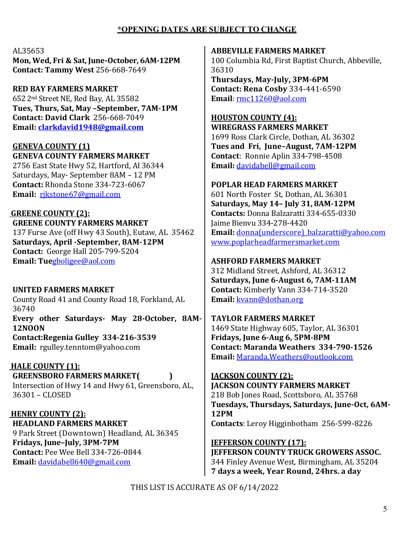#### AL35653

**Mon, Wed, Fri & Sat, June-October, 6AM-12PM Contact: Tammy West** 256-668-7649

**RED BAY FARMERS MARKET** 652 2nd Street NE, Red Bay, AL 35582 **Tues, Thurs, Sat, May –September, 7AM-1PM Contact: David Clark** 256-668-7049 **Email: [clarkdavid1948@gmail.com](mailto:clarkdavid1948@gmail.com)**

#### **GENEVA COUNTY (1)**

**GENEVA COUNTY FARMERS MARKET**

2756 East State Hwy 52, Hartford, Al 36344 Saturdays, May- September 8AM – 12 PM **Contact:** Rhonda Stone 334-723-6067 **Email:** [rjkstone67@gmail.com](mailto:rjkstone67@gmail.com)

#### **GREENE COUNTY (2):**

**GREENE COUNTY FARMERS MARKET** 137 Furse Ave (off Hwy 43 South), Eutaw, AL 35462 **Saturdays, April -September, 8AM-12PM Contact:** George Hall 205-799-5204 **Email: Tue**[gboligee@aol.com](mailto:gboligee@aol.com)

**UNITED FARMERS MARKET** County Road 41 and County Road 18, Forkland, AL 36740 **Every other Saturdays- May 28-October, 8AM-12NOON Contact:Regenia Gulley 334-216-3539 Email:** [r](mailto:mcal919@bellsouth.net)gulley.tenntom@yahoo.com

 **HALE COUNTY (1):**

GREENSBORO FARMERS MARKET(KORDER) Intersection of Hwy 14 and Hwy 61, Greensboro, AL, 36301 – CLOSED

 **HENRY COUNTY (2):**

**HEADLAND FARMERS MARKET** 9 Park Street (Downtown) Headland, AL 36345 **Fridays, June–July, 3PM-7PM**

**Contact:** Pee Wee Bell 334-726-0844 **Email:** [davidabell640@gmail.com](mailto:davidabell640@gmail.com)

**ABBEVILLE FARMERS MARKET** 100 Columbia Rd, First Baptist Church, Abbeville, 36310 **Thursdays, May-July, 3PM-6PM Contact: Rena Cosby** 334-441-6590 **Email**: [rmc11260@aol.com](mailto:rmc11260@aol.com)

**HOUSTON COUNTY (4): WIREGRASS FARMERS MARKET** 1699 Ross Clark Circle, Dothan, AL 36302 **Tues and Fri, June–August, 7AM-12PM Contact**: Ronnie Aplin 334-798-4508 **Email:** [davidabell@gmail.com](mailto:davidabell@gmail.com)

#### **POPLAR HEAD FARMERS MARKET**

601 North Foster St, Dothan, AL 36301 **Saturdays, May 14– July 31, 8AM-12PM Contacts:** Donna Balzaratti 334-655-0330 Jaime Bienvu 334-278-4420 **Email:** [donna\(underscore\)\\_balzaratti@yahoo.com](mailto:donna(underscore)_balzaratti@yahoo.com) [www.poplarheadfarmersmarket.com](http://www.poplarheadfarmersmarket.com/)

**ASHFORD FARMERS MARKET**

312 Midland Street, Ashford, AL 36312 **Saturdays, June 6-August 6, 7AM-11AM Contact:** Kimberly Vann 334-714-3520 **Email:** [kvann@dothan.org](mailto:kvann@dothan.org)

**TAYLOR FARMERS MARKET** 1469 State Highway 605, Taylor, AL 36301 **Fridays, June 6-Aug 6, 5PM-8PM Contact: Maranda Weathers 334-790-1526 Email:** [Maranda.Weathers@outlook.com](mailto:Maranda.Weathers@outlook.com) 

**JACKSON COUNTY (2): JACKSON COUNTY FARMERS MARKET** 218 Bob Jones Road, Scottsboro, AL 35768 **Tuesdays, Thursdays, Saturdays, June-Oct, 6AM-12PM Contacts**: Leroy Higginbotham 256-599-8226

**JEFFERSON COUNTY (17): JEFFERSON COUNTY TRUCK GROWERS ASSOC.** 344 Finley Avenue West, Birmingham, AL 35204 **7 days a week, Year Round, 24hrs. a day**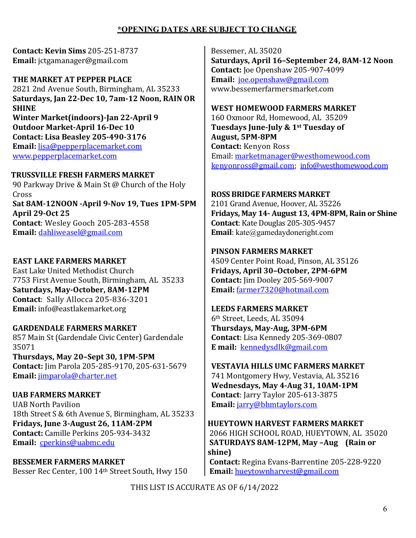**Contact: Kevin Sims** 205-251-8737 **Email:** jctgamanager@gmail.com

**THE MARKET AT PEPPER PLACE** 2821 2nd Avenue South, Birmingham, AL 35233 **Saturdays, Jan 22-Dec 10, 7am-12 Noon, RAIN OR SHINE Winter Market(indoors)-Jan 22-April 9 Outdoor Market-April 16-Dec 10 Contact: Lisa Beasley 205-490-3176 Email:** [lisa@pepperplacemarket.com](mailto:lisa@pepperplacemarket.com) [www.pepperplacemarket.com](http://www.pepperplacemarket.com/)

# **TRUSSVILLE FRESH FARMERS MARKET**

90 Parkway Drive & Main St @ Church of the Holy Cross **Sat 8AM-12NOON -April 9-Nov 19, Tues 1PM-5PM April 29-Oct 25 Contact**: Wesley Gooch 205-283-4558 **Email:** [dahliweasel@gmail.com](mailto:DahliWeasel@gmail.com) 

 **EAST LAKE FARMERS MARKET** East Lake United Methodist Church 7753 First Avenue South, Birmingham, AL 35233 **Saturdays, May-October, 8AM-12PM Contact**: Sally Allocca 205-836-3201 **Email:** info@eastlakemarket.org

## **GARDENDALE FARMERS MARKET**

857 Main St (Gardendale Civic Center) Gardendale 35071 **Thursdays, May 20–Sept 30, 1PM-5PM Contact:** Jim Parola 205-285-9170, 205-631-5679 **Email:** [jimparola@charter.net](mailto:jimparola@charter.net) 

#### **UAB FARMERS MARKET**

UAB North Pavilion 18th Street S & 6th Avenue S, Birmingham, AL 35233 **Fridays, June 3-August 26, 11AM-2PM Contact:** Camille Perkins 205-934-3432 **Email:** [cperkins@uabmc.edu](mailto:cperkins@uabmc.edu)

**BESSEMER FARMERS MARKET** Besser Rec Center, 100 14th Street South, Hwy 150

Bessemer, AL 35020 **Saturdays, April 16–September 24, 8AM-12 Noon Contact:** Joe Openshaw 205-907-4099 **Email:** [joe.openshaw@gmail.com](mailto:joe.openshaw@gmail.com) www.bessemerfarmersmarket.com

## **WEST HOMEWOOD FARMERS MARKET**

160 Oxmoor Rd, Homewood, AL 35209 **Tuesdays June-July & 1st Tuesday of August, 5PM-8PM Contact:** Kenyon Ross Email: [marketmanager@westhomewood.com](mailto:marketmanager@westhomewood.com) [kenyonross@gmail.com;](mailto:kenyonross@gmail.com) info@westhomewood.com

**ROSS BRIDGE FARMERS MARKET** 2101 Grand Avenue, Hoover, AL 35226 **Fridays, May 14- August 13, 4PM-8PM, Rain or Shine Contact**: Kate Douglas 205-305-9457 **Email**: kate@gamedaydoneright.com

#### **PINSON FARMERS MARKET**

4509 Center Point Road, Pinson, AL 35126 **Fridays, April 30–October, 2PM-6PM Contact:** Jim Dooley 205-569-9007 **Email:** [farmer7320@hotmail.com](mailto:farmer7320@hotmail.com)

#### **LEEDS FARMERS MARKET**

 6th Street, Leeds, AL 35094  **Thursdays, May-Aug, 3PM-6PM Contact**: Lisa Kennedy 205-369-0807  **E mail:** [kennedysdlk@gmail.com](mailto:kennedysdlk@gmail.com)

 **VESTAVIA HILLS UMC FARMERS MARKET** 741 Montgomery Hwy, Vestavia, AL 35216  **Wednesdays, May 4-Aug 31, 10AM-1PM Contact**: Jarry Taylor 205-613-3875  **Email:** [jarry@bhmtaylors.com](mailto:jarry@bhmtaylors.com)

**HUEYTOWN HARVEST FARMERS MARKET** 2066 HIGH SCHOOL ROAD, HUEYTOWN, AL 35020 **SATURDAYS 8AM-12PM, May –Aug (Rain or shine) Contact:** Regina Evans-Barrentine 205-228-9220  **Email:** [hueytownharvest@gmail.com](mailto:hueytownharvest@gmail.com)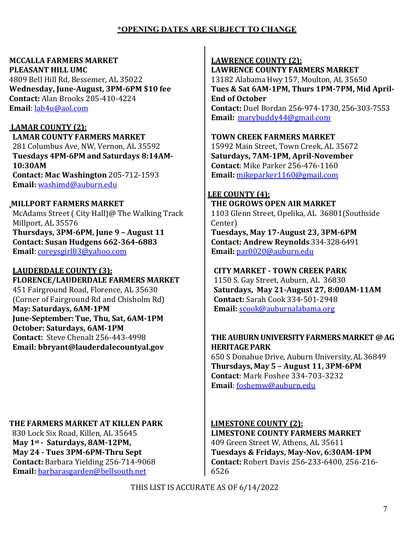# **MCCALLA FARMERS MARKET**

**PLEASANT HILL UMC** 4809 Bell Hill Rd, Bessemer, AL 35022 **Wednesday, June-August, 3PM-6PM \$10 fee Contact:** Alan Brooks 205-410-4224 **Email**: [lab4u@aol.com](mailto:lab4u@aol.com)

## **LAMAR COUNTY (2):**

**LAMAR COUNTY FARMERS MARKET** 281 Columbus Ave, NW, Vernon, AL 35592 **Tuesdays 4PM-6PM and Saturdays 8:14AM-10:30AM Contact: Mac Washington** 205-712-1593 **Email:** [washimd@auburn.edu](mailto:washimd@auburn.edu)

## **MILLPORT FARMERS MARKET**

McAdams Street ( City Hall)@ The Walking Track Millport, AL 35576 **Thursdays, 3PM-6PM, June 9 – August 11 Contact: Susan Hudgens 662-364-6883 Email**: [coreysgirl83@yahoo.com](mailto:coreysgirl83@yahoo.com)

## **LAUDERDALE COUNTY (3):**

**FLORENCE/LAUDERDALE FARMERS MARKET** 451 Fairground Road, Florence, AL 35630 (Corner of Fairground Rd and Chisholm Rd) **May: Saturdays, 6AM-1PM June-September: Tue, Thu, Sat, 6AM-1PM October: Saturdays, 6AM-1PM Contact:** Steve Chenalt 256-443-4998 **Email: bbryant@lauderdalecountyal.gov**

## **THE FARMERS MARKET AT KILLEN PARK**

830 Lock Six Road, Killen, AL 35645 **May 1st - Saturdays, 8AM-12PM, May 24 - Tues 3PM-6PM-Thru Sept Contact:** Barbara Yielding 256-714-9068 **Email:** [barbarasgarden@bellsouth.net](mailto:barbarasgarden@bellsouth.net)

## **LAWRENCE COUNTY (2): LAWRENCE COUNTY FARMERS MARKET** 13182 Alabama Hwy 157, Moulton, AL 35650 **Tues & Sat 6AM-1PM, Thurs 1PM-7PM, Mid April-End of October Contact:** Duel Bordan 256-974-1730, 256-303-7553 **Email:** [marybuddy44@gmail.com](mailto:marybuddy44@gmail.com)

## **TOWN CREEK FARMERS MARKET**

15992 Main Street, Town Creek, AL 35672 **Saturdays, 7AM-1PM, April-November Contact**: Mike Parker 256-476-1160 **Email:** [mikeparker1160@gmail.com](mailto:mikeparker1160@gmail.com)

## **LEE COUNTY (4):**

**THE OGROWS OPEN AIR MARKET** 1103 Glenn Street, Opelika, AL 36801(Southside Center) **Tuesdays, May 17-August 23, 3PM-6PM Contact: Andrew Reynolds** 334-328-6491 **Email:** [par0020@auburn.edu](mailto:par0020@auburn.edu)

## **CITY MARKET - TOWN CREEK PARK**

1150 S. Gay Street, Auburn, AL 36830 **Saturdays, May 21-August 27, 8:00AM-11AM Contact:** Sarah Cook 334-501-2948 **Email:** [scook@auburnalabama.org](mailto:scook@auburnalabama.org) 

## **THE AUBURN UNIVERSITY FARMERS MARKET @ AG HERITAGE PARK**

650 S Donahue Drive, Auburn University, AL 36849 **Thursdays, May 5 – August 11, 3PM-6PM Contact**: Mark Foshee 334-703-3232 **Email**: [foshemw@auburn.edu](mailto:foshemw@auburn.edu) 

## **LIMESTONE COUNTY (2):**

**LIMESTONE COUNTY FARMERS MARKET** 409 Green Street W, Athens, AL 35611 **Tuesdays & Fridays, May-Nov, 6:30AM-1PM Contact:** Robert Davis 256-233-6400, 256-216- 6526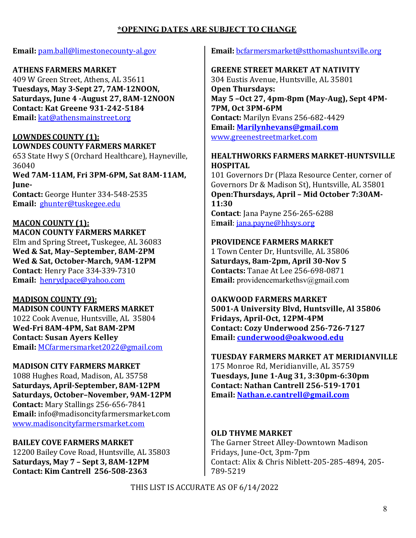**Email:** [pam.ball@limestonecounty-al.gov](mailto:pam.ball@limestonecounty-al.gov)

## **ATHENS FARMERS MARKET**

409 W Green Street, Athens, AL 35611 **Tuesdays, May 3-Sept 27, 7AM-12NOON, Saturdays, June 4 -August 27, 8AM-12NOON Contact: Kat Greene 931-242-5184 Email:** [kat@athensmainstreet.org](mailto:kat@athensmainstreet.org)

#### **LOWNDES COUNTY (1): LOWNDES COUNTY FARMERS MARKET**

653 State Hwy S (Orchard Healthcare), Hayneville, 36040

**Wed 7AM-11AM, Fri 3PM-6PM, Sat 8AM-11AM, June-Contact:** George Hunter 334-548-2535 **Email:** [ghunter@tuskegee.edu](mailto:ghunter@tuskegee.edu)

#### **MACON COUNTY (1):**

**MACON COUNTY FARMERS MARKET** Elm and Spring Street**,** Tuskegee, AL 36083 **Wed & Sat, May–September, 8AM-2PM Wed & Sat, October-March, 9AM-12PM Contact**: Henry Pace 334-339-7310 **Email:** [henrydpace@yahoo.com](mailto:henrydpace@yahoo.com)

#### **MADISON COUNTY (9):**

**MADISON COUNTY FARMERS MARKET** 1022 Cook Avenue, Huntsville, AL 35804 **Wed-Fri 8AM-4PM, Sat 8AM-2PM Contact: Susan Ayers Kelley Email:** [MCfarmersmarket2022@gmail.com](mailto:MCfarmersmarket2022@gmail.com)

## **MADISON CITY FARMERS MARKET**

1088 Hughes Road, Madison, AL 35758 **Saturdays, April-September, 8AM-12PM Saturdays, October–November, 9AM-12PM Contact:** Mary Stallings 256-656-7841 **Email:** info@madisoncityfarmersmarket.com [www.madisoncityfarmersmarket.com](http://www.madisoncityfarmersmarket.com/) 

## **BAILEY COVE FARMERS MARKET**

12200 Bailey Cove Road, Huntsville, AL 35803 **Saturdays, May 7 – Sept 3, 8AM-12PM Contact: Kim Cantrell 256-508-2363**

**Email:** [bcfarmersmarket@s](mailto:bcfarmersmarket@)tthomashuntsville.org

#### **GREENE STREET MARKET AT NATIVITY**

304 Eustis Avenue, Huntsville, AL 35801 **Open Thursdays: May 5 –Oct 27, 4pm-8pm (May-Aug), Sept 4PM-7PM, Oct 3PM-6PM Contact:** Marilyn Evans 256-682-4429 **Email: [Marilynhevans@gmail.com](mailto:Marilynhevans@gmail.com)** [www.greenestreetmarket.com](http://www.greenestreetmarket.com/)

#### **HEALTHWORKS FARMERS MARKET-HUNTSVILLE HOSPITAL**

101 Governors Dr (Plaza Resource Center, corner of Governors Dr & Madison St), Huntsville, AL 35801 **Open:Thursdays, April – Mid October 7:30AM-11:30 Contact**: Jana Payne 256-265-6288 E**mail**: [jana.payne@hhsys.org](mailto:jana.payne@hhsys.org)

#### **PROVIDENCE FARMERS MARKET**

1 Town Center Dr, Huntsville, AL 35806 **Saturdays, 8am-2pm, April 30-Nov 5 Contacts:** Tanae At Lee 256-698-0871 **Email:** providencemarkethsv@gmail.com

#### **OAKWOOD FARMERS MARKET**

**5001-A University Blvd, Huntsville, Al 35806 Fridays, April-Oct, 12PM-4PM Contact: Cozy Underwood 256-726-7127 Email: [cunderwood@oakwood.edu](mailto:cunderwood@oakwood.edu)**

#### **TUESDAY FARMERS MARKET AT MERIDIANVILLE**

175 Monroe Rd, Meridianville, AL 35759 **Tuesdays, June 1-Aug 31, 3:30pm-6:30pm Contact: Nathan Cantrell 256-519-1701 Email: [Nathan.e.cantrell@gmail.com](mailto:Nathan.e.cantrell@gmail.com)**

#### **OLD THYME MARKET**

The Garner Street Alley-Downtown Madison Fridays, June-Oct, 3pm-7pm Contact: Alix & Chris Niblett-205-285-4894, 205- 789-5219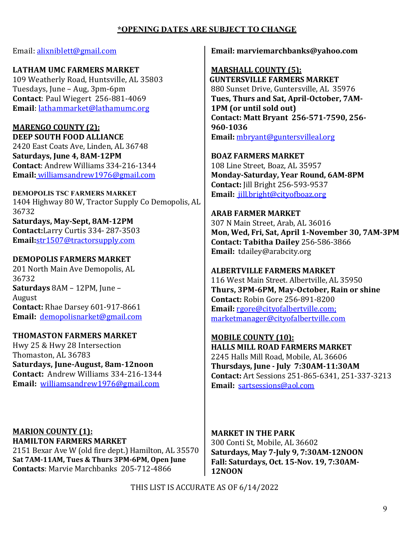Email: [alixniblett@gmail.com](mailto:alixniblett@gmail.com)

**LATHAM UMC FARMERS MARKET** 109 Weatherly Road, Huntsville, AL 35803 Tuesdays, June – Aug, 3pm-6pm **Contact**: Paul Wiegert 256-881-4069 **Email**: [lathammarket@lathamumc.org](mailto:lathammarket@lathamumc.org)

**MARENGO COUNTY (2): DEEP SOUTH FOOD ALLIANCE** 2420 East Coats Ave, Linden, AL 36748 **Saturdays, June 4, 8AM-12PM Contact**: Andrew Williams 334-216-1344 **Email[:](mailto:)** [williamsandrew1976@gmail.com](mailto:williamsandrew1976@gmail.com)

**DEMOPOLIS TSC FARMERS MARKET** 1404 Highway 80 W, Tractor Supply Co Demopolis, AL 36732 **Saturdays, May-Sept, 8AM-12PM Contact:**Larry Curtis 334- 287-3503 **Email:**[str1507@tractorsupply.com](mailto:str1507@tractorsupply.com)

**DEMOPOLIS FARMERS MARKET** 201 North Main Ave Demopolis, AL 36732 **Saturdays** 8AM – 12PM, June – August **Contact:** Rhae Darsey 601-917-8661 **Email:** [demopolisnarket@gmail.com](mailto:demopolisnarket@gmail.com)

**THOMASTON FARMERS MARKET** Hwy 25 & Hwy 28 Intersection Thomaston, AL 36783 **Saturdays, June-August, 8am-12noon Contact:** Andrew Williams 334-216-1344 **Email:** [williamsandrew1976@gmail.com](mailto:williamsandrew1976@gmail.com)

**MARION COUNTY (1): HAMILTON FARMERS MARKET** 2151 Bexar Ave W (old fire dept.) Hamilton, AL 35570 **Sat 7AM-11AM, Tues & Thurs 3PM-6PM, Open June Contacts**: Marvie Marchbanks 205-712-4866

**Email: marviemarchbanks@yahoo.com**

**MARSHALL COUNTY (5): GUNTERSVILLE FARMERS MARKET** 880 Sunset Drive, Guntersville, AL 35976 **Tues, Thurs and Sat, April-October, 7AM-1PM (or until sold out) Contact: Matt Bryant 256-571-7590, 256- 960-1036 Email:** [mbryant@guntersvilleal.org](mailto:mbryant@guntersvilleal.org)

**BOAZ FARMERS MARKET** 108 Line Street, Boaz, AL 35957 **Monday-Saturday, Year Round, 6AM-8PM Contact:** Jill Bright 256-593-9537 **Email:** [jill.bright@cityofboaz.org](mailto:%20jill.bright@cityofboaz.org)

**ARAB FARMER MARKET** 307 N Main Street, Arab, AL 36016 **Mon, Wed, Fri, Sat, April 1-November 30, 7AM-3PM Contact: Tabitha Dailey** 256-586-3866 **Email:** tdailey@arabcity.org

**ALBERTVILLE FARMERS MARKET**  116 West Main Street. Albertville, AL 35950 **Thurs, 3PM-6PM, May-October, Rain or shine Contact:** Robin Gore 256-891-8200 **Email:** [rgore@cityofalbertville.com;](mailto:rgore@cityofalbertville.com;) marketmanager@cityofalbertville.com

**MOBILE COUNTY (10): HALLS MILL ROAD FARMERS MARKET** 2245 Halls Mill Road, Mobile, AL 36606 **Thursdays, June - July 7:30AM-11:30AM Contact:** Art Sessions 251-865-6341, 251-337-3213 **Email:** [sartsessions@aol.com](mailto:sartsessions@aol.com)

**MARKET IN THE PARK**  300 Conti St, Mobile, AL 36602 **Saturdays, May 7-July 9, 7:30AM-12NOON Fall: Saturdays, Oct. 15-Nov. 19, 7:30AM-12NOON**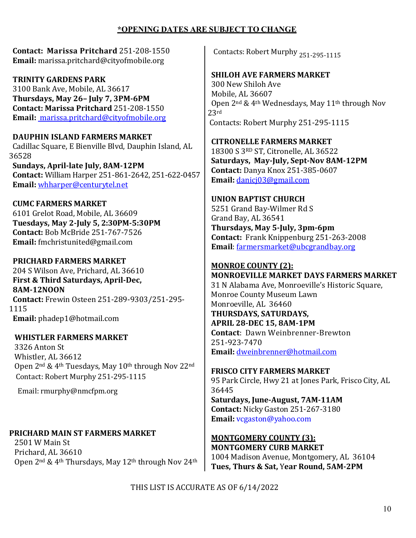**Contact: Marissa Pritchard** 251-208-1550 **Email:** marissa.pritchard@cityofmobile.org

**TRINITY GARDENS PARK**  3100 Bank Ave, Mobile, AL 36617 **Thursdays, May 26– July 7, 3PM-6PM Contact: Marissa Pritchard** 251-208-1550 **Email:** [marissa.pritchard@cityofmobile.org](mailto:%20marissa.pritchard@cityofmobile.org)

**DAUPHIN ISLAND FARMERS MARKET** Cadillac Square, E Bienville Blvd, Dauphin Island, AL 36528 **Sundays, April-late July, 8AM-12PM Contact:** William Harper 251-861-2642, 251-622-0457 **Email:** [whharper@centurytel.net](mailto:whharper@centurytel.net)

**CUMC FARMERS MARKET** 6101 Grelot Road, Mobile, AL 36609 **Tuesdays, May 2-July 5, 2:30PM-5:30PM Contact:** Bob McBride 251-767-7526 **Email:** fmchristunited@gmail.com

 **PRICHARD FARMERS MARKET** 204 S Wilson Ave, Prichard, AL 36610 **First & Third Saturdays, April-Dec, 8AM-12NOON Contact:** Frewin Osteen 251-289-9303/251-295- 1115 **Email:** phadep1@hotmail.com

 **WHISTLER FARMERS MARKET** 3326 Anton St Whistler, AL 36612 Open 2nd & 4th Tuesdays, May 10th through Nov 22nd Contact: Robert Murphy 251-295-1115

Email: rmurphy@nmcfpm.org

# **PRICHARD MAIN ST FARMERS MARKET**

 2501 W Main St Prichard, AL 36610 Open 2nd & 4th Thursdays, May 12th through Nov 24th Contacts: Robert Murphy 251-295-1115

**SHILOH AVE FARMERS MARKET**

 300 New Shiloh Ave Mobile, AL 36607 Open 2nd & 4th Wednesdays, May 11th through Nov 23rd Contacts: Robert Murphy 251-295-1115

 **CITRONELLE FARMERS MARKET** 18300 S 3RD ST, Citronelle, AL 36522 **Saturdays, May-July, Sept-Nov 8AM-12PM Contact:** Danya Knox 251-385-0607 **Email:** [danicj03@gmail.com](mailto:danicj03@gmail.com) 

 **UNION BAPTIST CHURCH** 5251 Grand Bay-Wilmer Rd S Grand Bay, AL 36541 **Thursdays, May 5-July, 3pm-6pm Contact:** Frank Knippenburg 251-263-2008 **Email**: [farmersmarket@ubcgrandbay.org](mailto:farmersmarket@ubcgrandbay.org)

**MONROE COUNTY (2): MONROEVILLE MARKET DAYS FARMERS MARKET**  31 N Alabama Ave, Monroeville's Historic Square, Monroe County Museum Lawn Monroeville, AL 36460 **THURSDAYS, SATURDAYS, APRIL 28-DEC 15, 8AM-1PM Contact**: Dawn Weinbrenner-Brewton 251-923-7470 **Email:** [dweinbrenner@hotmail.com](mailto:dweinbrenner@hotmail.com)

**FRISCO CITY FARMERS MARKET** 95 Park Circle, Hwy 21 at Jones Park, Frisco City, AL 36445 **Saturdays, June-August, 7AM-11AM Contact:** Nicky Gaston 251-267-3180 **Email:** [vcgaston@yahoo.com](mailto:vcgaston@yahoo.com)

**MONTGOMERY COUNTY (3): MONTGOMERY CURB MARKET**  1004 Madison Avenue, Montgomery, AL 36104 **Tues, Thurs & Sat,** Y**ear Round, 5AM-2PM**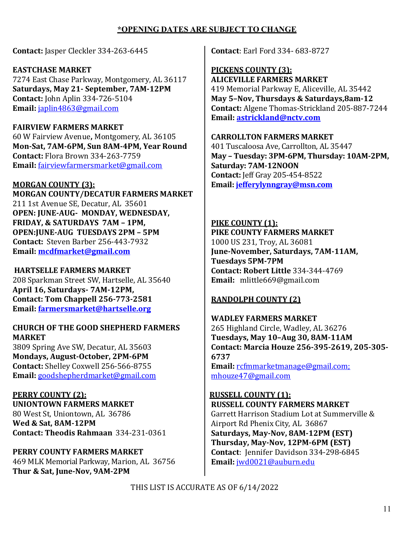**Contact:** Jasper Cleckler 334-263-6445

**EASTCHASE MARKET** 7274 East Chase Parkway, Montgomery, AL 36117 **Saturdays, May 21- September, 7AM-12PM Contact:** John Aplin 334-726-5104 **Email:** [japlin4863@gmail.com](mailto:japlin4863@gmail.com)

#### **FAIRVIEW FARMERS MARKET**

60 W Fairview Avenue**,** Montgomery, AL 36105 **Mon-Sat, 7AM-6PM, Sun 8AM-4PM, Year Round Contact:** Flora Brown 334-263-7759 **Email:** [fairviewfarmersmarket@gmail.com](mailto:fairviewfarmersmarket@gmail.com)

#### **MORGAN COUNTY (3):**

**MORGAN COUNTY/DECATUR FARMERS MARKET** 211 1st Avenue SE, Decatur, AL 35601 **OPEN: JUNE-AUG- MONDAY, WEDNESDAY, FRIDAY, & SATURDAYS 7AM – 1PM, OPEN:JUNE-AUG TUESDAYS 2PM – 5PM Contact:** Steven Barber 256-443-7932 **Email: [mcdfmarket@gmail.com](mailto:mcdfmarket@gmail.com)**

#### **HARTSELLE FARMERS MARKET**

208 Sparkman Street SW, Hartselle, AL 35640 **April 16, Saturdays- 7AM-12PM, Contact: Tom Chappell 256-773-2581 Email: [farmersmarket@hartselle.org](mailto:farmersmarket@hartselle.org)**

## **CHURCH OF THE GOOD SHEPHERD FARMERS MARKET**

3809 Spring Ave SW, Decatur, AL 35603 **Mondays, August-October, 2PM-6PM Contact:** Shelley Coxwell 256-566-8755 **Email:** [goodshepherdmarket@gmail.com](mailto:goodshepherdmarket@gmail.com)

## **PERRY COUNTY (2):**

**UNIONTOWN FARMERS MARKET** 80 West St, Uniontown, AL 36786 **Wed & Sat, 8AM-12PM Contact: Theodis Rahmaan** 334-231-0361

#### **PERRY COUNTY FARMERS MARKET** 469 MLK Memorial Parkway, Marion, AL 36756

**Thur & Sat, June-Nov, 9AM-2PM** 

**Contact**: Earl Ford 334- 683-8727

**PICKENS COUNTY (3): ALICEVILLE FARMERS MARKET** 419 Memorial Parkway E, Aliceville, AL 35442 **May 5–Nov, Thursdays & Saturdays,8am-12 Contact:** Algene Thomas-Strickland 205-887-7244 **Email: [astrickland@nctv.com](mailto:astrickland@nctv.com)** 

## **CARROLLTON FARMERS MARKET**

401 Tuscaloosa Ave, Carrollton, AL 35447 **May – Tuesday: 3PM-6PM, Thursday: 10AM-2PM, Saturday: 7AM-12NOON Contact:** Jeff Gray 205-454-8522 **Email: [jefferylynngray@msn.com](mailto:jefferylynngray@msn.com)**

**PIKE COUNTY (1): PIKE COUNTY FARMERS MARKET**  1000 US 231, Troy, AL 36081 **June-November, Saturdays, 7AM-11AM, Tuesdays 5PM-7PM Contact: Robert Little** 334-344-4769 **Email:** mlittle669@gmail.com

# **RANDOLPH COUNTY (2)**

**WADLEY FARMERS MARKET** 265 Highland Circle, Wadley, AL 36276 **Tuesdays, May 10–Aug 30, 8AM-11AM Contact: Marcia Houze 256-395-2619, 205-305- 6737**

**Email:** [rcfmmarketmanage@gmail.com;](mailto:rcfmmarketmanage@gmail.com) mhouze47@gmail.com

# **RUSSELL COUNTY (1):**

**RUSSELL COUNTY FARMERS MARKET** Garrett Harrison Stadium Lot at Summerville & Airport Rd Phenix City, AL 36867 **Saturdays, May-Nov, 8AM-12PM (EST) Thursday, May-Nov, 12PM-6PM (EST) Contact**: Jennifer Davidson 334-298-6845 **Email:** [jwd0021@auburn.edu](mailto:jwd0021@auburn.edu)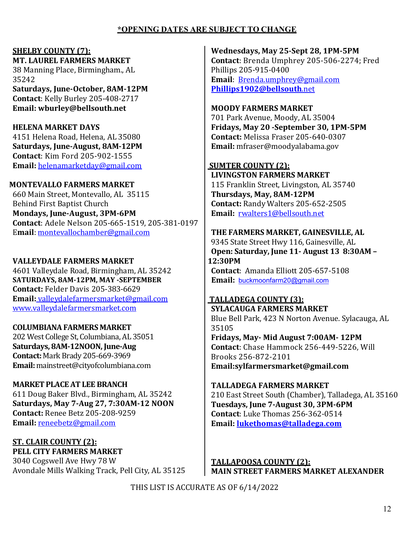#### **SHELBY COUNTY (7):**

#### **MT. LAUREL FARMERS MARKET** 38 Manning Place, Birmingham., AL 35242

**Saturdays, June-October, 8AM-12PM Contact**: Kelly Burley 205-408-2717 **[Email:](mailto:Email:) wburley@bellsouth.net**

## **HELENA MARKET DAYS**

4151 Helena Road, Helena, AL 35080 **Saturdays, June-August, 8AM-12PM Contact**: Kim Ford 205-902-1555 **Email:** [helenamarketday@gmail.com](mailto:helenamarketday@gmail.com) 

## **MONTEVALLO FARMERS MARKET**

660 Main Street, Montevallo, AL 35115 Behind First Baptist Church **Mondays, June-August, 3PM-6PM Contact**: Adele Nelson 205-665-1519, 205-381-0197 E**mail**: [montevallochamber@gmail.com](mailto:montevallochamber@gmail.com)

## **VALLEYDALE FARMERS MARKET**

4601 Valleydale Road, Birmingham, AL 35242 **SATURDAYS, 8AM-12PM, MAY -SEPTEMBER Contact:** Felder Davis 205-383-6629 **Email:** [valleydalefarmersmarket@gmail.com](mailto:%20valleydalefarmersmarket@gmail.com) [www.valleydalefarmersmarket.com](http://www.valleydalefarmersmarket.com/)

#### **COLUMBIANA FARMERS MARKET**

202 West College St, Columbiana, AL 35051 **Saturdays, 8AM-12NOON, June-Aug Contact:** Mark Brady 205-669-3969 **Email:** mainstreet@cityofcolumbiana.com

## **MARKET PLACE AT LEE BRANCH**

611 Doug Baker Blvd., Birmingham, AL 35242 **Saturdays, May 7-Aug 27, 7:30AM-12 NOON Contact:** Renee Betz 205-208-9259 **Email:** [reneebetz@gmail.com](mailto:reneebetz@gmail.com)

## **ST. CLAIR COUNTY (2): PELL CITY FARMERS MARKET**

3040 Cogswell Ave Hwy 78 W Avondale Mills Walking Track, Pell City, AL 35125

**Wednesdays, May 25-Sept 28, 1PM-5PM Contact**: Brenda Umphrey 205-506-2274; Fred Phillips 205-915-0400 **Email**: [Brenda.umphrey@gmail.com](mailto:Brenda.umphrey@gmail.com) **[Phillips1902@bellsouth](mailto:Phillips1902@bellsouth.net)**.net

#### **MOODY FARMERS MARKET**

701 Park Avenue, Moody, AL 35004 **Fridays, May 20 -September 30, 1PM-5PM Contact:** Melissa Fraser 205-640-0307 **Email:** mfraser@moodyalabama.gov

## **SUMTER COUNTY (2):**

**LIVINGSTON FARMERS MARKET** 115 Franklin Street, Livingston, AL 35740 **Thursdays, May, 8AM-12PM Contact:** Randy Walters 205-652-2505 **Email:** [rwalters1@bellsouth.net](mailto:rwalters1@bellsouth.net)

## **THE FARMERS MARKET, GAINESVILLE, AL**

9345 State Street Hwy 116, Gainesville, AL  **Open: Saturday, June 11- August 13 8:30AM – 12:30PM**

 **Contact**: Amanda Elliott 205-657-5108  **Email:** [buckmoonfarm20@gmail.com](mailto:buckmoonfarm20@gmail.com)

# **TALLADEGA COUNTY (3):**

**SYLACAUGA FARMERS MARKET** Blue Bell Park, 423 N Norton Avenue. Sylacauga, AL 35105 **Fridays, May- Mid August 7:00AM- 12PM Contact**: Chase Hammock 256-449-5226, Will Brooks 256-872-2101

**Email:sylfarmersmarket@gmail.com**

#### **TALLADEGA FARMERS MARKET**  210 East Street South (Chamber), Talladega, AL 35160 **Tuesdays, June 7-August 30, 3PM-6PM Contact**: Luke Thomas 256-362-0514 **Email: [lukethomas@talladega.com](mailto:lukethomas@talladega.com)**

**TALLAPOOSA COUNTY (2): MAIN STREET FARMERS MARKET ALEXANDER**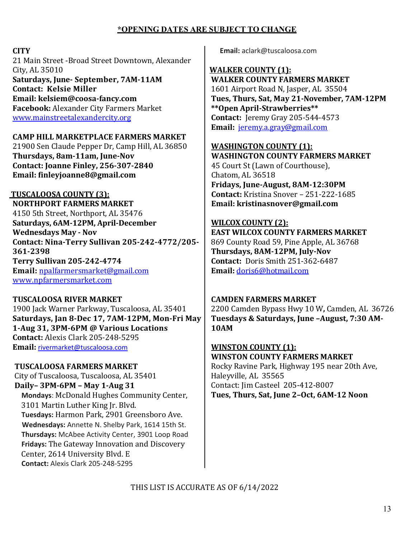**CITY**

21 Main Street -Broad Street Downtown, Alexander City, AL 35010 **Saturdays, June- September, 7AM-11AM Contact: Kelsie Miller Email: kelsiem@coosa-fancy.com Facebook:** Alexander City Farmers Market [www.mainstreetalexandercity.org](http://www.mainstreetalexandercity.org/)

**CAMP HILL MARKETPLACE FARMERS MARKET** 21900 Sen Claude Pepper Dr, Camp Hill, AL 36850 **Thursdays, 8am-11am, June-Nov Contact: Joanne Finley, 256-307-2840**

**Email: finleyjoanne8@gmail.com**

**TUSCALOOSA COUNTY (3): NORTHPORT FARMERS MARKET** 4150 5th Street, Northport, AL 35476 **Saturdays, 6AM-12PM, April-December Wednesdays May - Nov Contact: Nina-Terry Sullivan 205-242-4772/205- 361-2398 Terry Sullivan 205-242-4774 Email:** [npalfarmersmarket@gmail.com](mailto:npalfarmersmarket@gmail.com)  [www.npfarmersmarket.com](http://www.npfarmersmarket.com/) 

**TUSCALOOSA RIVER MARKET** 1900 Jack Warner Parkway, Tuscaloosa, AL 35401 **Saturdays, Jan 8-Dec 17, 7AM-12PM, Mon-Fri May 1-Aug 31, 3PM-6PM @ Various Locations Contact:** Alexis Clark 205-248-5295 **Email:** [rivermarket@tuscaloosa.com](mailto:rivermarket@tuscaloosa.com)

 **TUSCALOOSA FARMERS MARKET** City of Tuscaloosa, Tuscaloosa, AL 35401 **Daily– 3PM-6PM – May 1-Aug 31 Mondays**: McDonald Hughes Community Center, 3101 Martin Luther King Jr. Blvd. **Tuesdays:** Harmon Park, 2901 Greensboro Ave. **Wednesdays:** Annette N. Shelby Park, 1614 15th St. **Thursdays:** McAbee Activity Center, 3901 Loop Road **Fridays:** The Gateway Innovation and Discovery Center, 2614 University Blvd. E **Contact:** Alexis Clark 205-248-5295

**Email:** aclark@tuscaloosa.com

**WALKER COUNTY (1): WALKER COUNTY FARMERS MARKET** 1601 Airport Road N, Jasper, AL 35504 **Tues, Thurs, Sat, May 21-November, 7AM-12PM \*\*Open April-Strawberries\*\* Contact:** Jeremy Gray 205-544-4573 **Email:** [jeremy.a.gray@gmail.com](mailto:jeremy.a.gray@gmail.com)

**WASHINGTON COUNTY (1): WASHINGTON COUNTY FARMERS MARKET** 45 Court St (Lawn of Courthouse), Chatom, AL 36518  **Fridays, June-August, 8AM-12:30PM Contact:** Kristina Snover – 251-222-1685 **Email: kristinasnover@gmail.com**

**WILCOX COUNTY (2): EAST WILCOX COUNTY FARMERS MARKET** 869 County Road 59, Pine Apple, AL 36768 **Thursdays, 8AM-12PM, July-Nov Contact:** Doris Smith 251-362-6487 **Email:** [doris6@hotmail.com](mailto:doris6@hotmail.com) 

**CAMDEN FARMERS MARKET** 2200 Camden Bypass Hwy 10 W**,** Camden, AL 36726 **Tuesdays & Saturdays, June –August, 7:30 AM-10AM**

**WINSTON COUNTY (1): WINSTON COUNTY FARMERS MARKET** Rocky Ravine Park, Highway 195 near 20th Ave, Haleyville, AL 35565 Contact: Jim Casteel 205-412-8007 **Tues, Thurs, Sat, June 2–Oct, 6AM-12 Noon**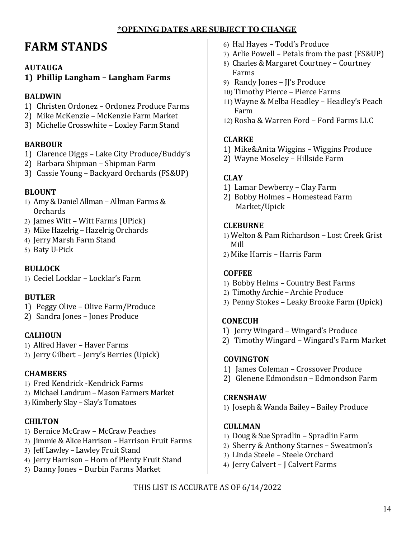# **FARM STANDS**

## **AUTAUGA**

## **1) Phillip Langham – Langham Farms**

## **BALDWIN**

- 1) Christen Ordonez Ordonez Produce Farms
- 2) Mike McKenzie McKenzie Farm Market
- 3) Michelle Crosswhite Loxley Farm Stand

## **BARBOUR**

- 1) Clarence Diggs Lake City Produce/Buddy's
- 2) Barbara Shipman Shipman Farm
- 3) Cassie Young Backyard Orchards (FS&UP)

## **BLOUNT**

- 1) Amy & Daniel Allman Allman Farms & **Orchards**
- 2) James Witt Witt Farms (UPick)
- 3) Mike Hazelrig Hazelrig Orchards
- 4) Jerry Marsh Farm Stand
- 5) Baty U-Pick

## **BULLOCK**

1) Ceciel Locklar – Locklar's Farm

## **BUTLER**

- 1) Peggy Olive Olive Farm/Produce
- 2) Sandra Jones Jones Produce

## **CALHOUN**

- 1) Alfred Haver Haver Farms
- 2) Jerry Gilbert Jerry's Berries (Upick)

## **CHAMBERS**

- 1) Fred Kendrick -Kendrick Farms
- 2) Michael Landrum Mason Farmers Market
- 3) Kimberly Slay Slay's Tomatoes

## **CHILTON**

- 1) Bernice McCraw McCraw Peaches
- 2) Jimmie & Alice Harrison –Harrison Fruit Farms
- 3) Jeff Lawley Lawley Fruit Stand
- 4) Jerry Harrison Horn of Plenty Fruit Stand
- 5) Danny Jones Durbin Farms Market
- 6) Hal Hayes Todd's Produce
- 7) Arlie Powell Petals from the past (FS&UP)
- 8) Charles & Margaret Courtney Courtney Farms
- 9) Randy Jones JJ's Produce
- 10) Timothy Pierce Pierce Farms
- 11) Wayne & Melba Headley Headley's Peach Farm
- 12) Rosha & Warren Ford Ford Farms LLC

## **CLARKE**

- 1) Mike&Anita Wiggins Wiggins Produce
- 2) Wayne Moseley Hillside Farm

## **CLAY**

- 1) Lamar Dewberry Clay Farm
- 2) Bobby Holmes Homestead Farm Market/Upick

## **CLEBURNE**

- 1) Welton & Pam Richardson Lost Creek Grist Mill
- 2) Mike Harris Harris Farm

## **COFFEE**

- 1) Bobby Helms Country Best Farms
- 2) Timothy Archie Archie Produce
- 3) Penny Stokes Leaky Brooke Farm (Upick)

## **CONECUH**

- 1) Jerry Wingard Wingard's Produce
- 2) Timothy Wingard Wingard's Farm Market

## **COVINGTON**

- 1) James Coleman Crossover Produce
- 2) Glenene Edmondson Edmondson Farm

## **CRENSHAW**

1) Joseph & Wanda Bailey – Bailey Produce

## **CULLMAN**

- 1) Doug & Sue Spradlin Spradlin Farm
- 2) Sherry & Anthony Starnes Sweatmon's
- 3) Linda Steele Steele Orchard
- 4) Jerry Calvert J Calvert Farms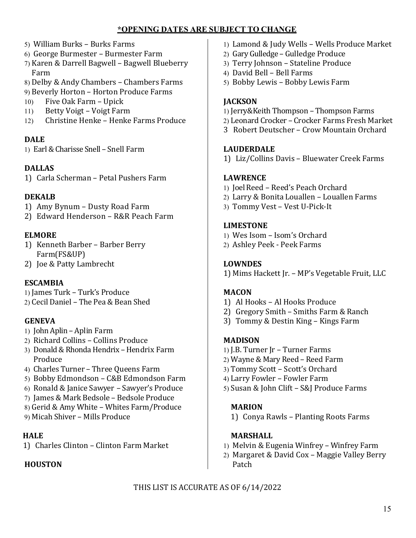- 5) William Burks Burks Farms
- 6) George Burmester Burmester Farm
- 7) Karen & Darrell Bagwell Bagwell Blueberry Farm
- 8) Delby & Andy Chambers Chambers Farms
- 9) Beverly Horton Horton Produce Farms<br>10) Five Oak Farm Upick
- 10) Five Oak Farm Upick<br>11) Betty Voigt Voigt Farr
- 11) Betty Voigt Voigt Farm<br>12) Christine Henke Henke
- 12) Christine Henke Henke Farms Produce

## **DALE**

1) Earl & Charisse Snell – Snell Farm

## **DALLAS**

1) Carla Scherman – Petal Pushers Farm

## **DEKALB**

- 1) Amy Bynum Dusty Road Farm
- 2) Edward Henderson R&R Peach Farm

## **ELMORE**

- 1) Kenneth Barber Barber Berry Farm(FS&UP)
- 2) Joe & Patty Lambrecht

## **ESCAMBIA**

- 1) James Turk Turk's Produce
- 2) Cecil Daniel The Pea & Bean Shed

## **GENEVA**

- 1) John Aplin Aplin Farm
- 2) Richard Collins Collins Produce
- 3) Donald & Rhonda Hendrix –Hendrix Farm Produce
- 4) Charles Turner Three Queens Farm
- 5) Bobby Edmondson C&B Edmondson Farm
- 6) Ronald & Janice Sawyer Sawyer's Produce
- 7) James & Mark Bedsole Bedsole Produce
- 8) Gerid & Amy White Whites Farm/Produce
- 9) Micah Shiver Mills Produce

## **HALE**

1) Charles Clinton – Clinton Farm Market

## **HOUSTON**

- 1) Lamond & Judy Wells Wells Produce Market
- 2) Gary Gulledge Gulledge Produce
- 3) Terry Johnson Stateline Produce
- 4) David Bell Bell Farms
- 5) Bobby Lewis Bobby Lewis Farm

## **JACKSON**

- 1) Jerry&Keith Thompson Thompson Farms
- 2) Leonard Crocker Crocker Farms Fresh Market
- 3 Robert Deutscher Crow Mountain Orchard

## **LAUDERDALE**

1) Liz/Collins Davis – Bluewater Creek Farms

## **LAWRENCE**

- 1) Joel Reed Reed's Peach Orchard
- 2) Larry & Bonita Louallen Louallen Farms
- 3) Tommy Vest Vest U-Pick-It

## **LIMESTONE**

- 1) Wes Isom Isom's Orchard
- 2) Ashley Peek Peek Farms

## **LOWNDES**

1) Mims Hackett Jr. – MP's Vegetable Fruit, LLC

## **MACON**

- 1) Al Hooks Al Hooks Produce
- 2) Gregory Smith Smiths Farm & Ranch
- 3) Tommy & Destin King Kings Farm

## **MADISON**

- 1) J.B. Turner Jr Turner Farms
- 2) Wayne & Mary Reed Reed Farm
- 3) Tommy Scott Scott's Orchard
- 4) Larry Fowler Fowler Farm
- 5) Susan & John Clift S&J Produce Farms

## **MARION**

1) Conya Rawls – Planting Roots Farms

## **MARSHALL**

- 1) Melvin & Eugenia Winfrey Winfrey Farm
- 2) Margaret & David Cox Maggie Valley Berry Patch